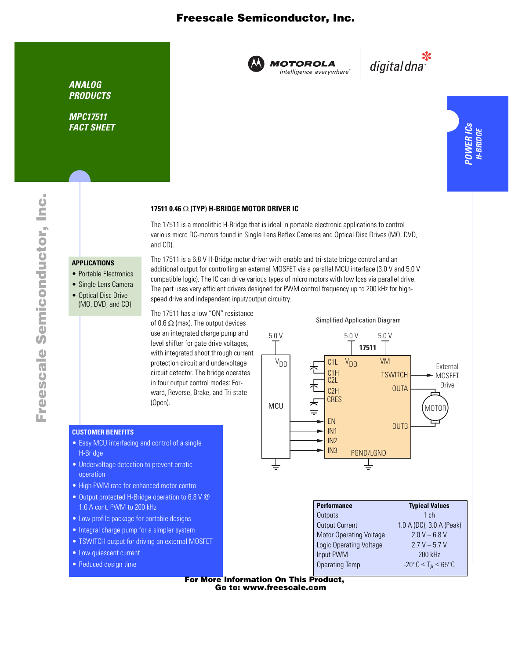## Freescale Semiconductor, Inc.



**MOTOROLA** intelligence everywhere

بانية<br>"digital dna

*MPC17511 FACT SHEET*

# **17511 0.46** Ω **(TYP) H-BRIDGE MOTOR DRIVER IC**

The 17511 is a monolithic H-Bridge that is ideal in portable electronic applications to control various micro DC-motors found in Single Lens Reflex Cameras and Optical Disc Drives (MO, DVD, and CD).

### **APPLICATIONS**

- Portable Electronics
- Single Lens Camera
- Optical Disc Drive (MO, DVD, and CD)

The 17511 is a 6.8 V H-Bridge motor driver with enable and tri-state bridge control and an additional output for controlling an external MOSFET via a parallel MCU interface (3.0 V and 5.0 V compatible logic). The IC can drive various types of micro motors with low loss via parallel drive. The part uses very efficient drivers designed for PWM control frequency up to 200 kHz for highspeed drive and independent input/output circuitry.

The 17511 has a low "ON" resistance of 0.6  $\Omega$  (max). The output devices use an integrated charge pump and level shifter for gate drive voltages, with integrated shoot through current protection circuit and undervoltage circuit detector. The bridge operates in four output control modes: Forward, Reverse, Brake, and Tri-state (Open).

### **CUSTOMER BENEFITS**

- Easy MCU interfacing and control of a single H-Bridge
- Undervoltage detection to prevent erratic operation
- High PWM rate for enhanced motor control
- Output protected H-Bridge operation to 6.8 V @ 1.0 A cont. PWM to 200 kHz
- Low profile package for portable designs
- Integral charge pump for a simpler system
- TSWITCH output for driving an external MOSFET
- Low quiescent current
- Reduced design time



Simplified Application Diagram

| <b>Performance</b>             | <b>Typical Values</b>                             |
|--------------------------------|---------------------------------------------------|
| Outputs                        | 1ch                                               |
| <b>Output Current</b>          | 1.0 A (DC), 3.0 A (Peak)                          |
| <b>Motor Operating Voltage</b> | $20V - 68V$                                       |
| <b>Logic Operating Voltage</b> | $27V - 57V$                                       |
| Input PWM                      | 200 kHz                                           |
| <b>Operating Temp</b>          | $-20^{\circ}$ C $\leq$ T <sub>A</sub> $\leq$ 65°C |
|                                |                                                   |

For More Information On This Product, Go to: www.freescale.com